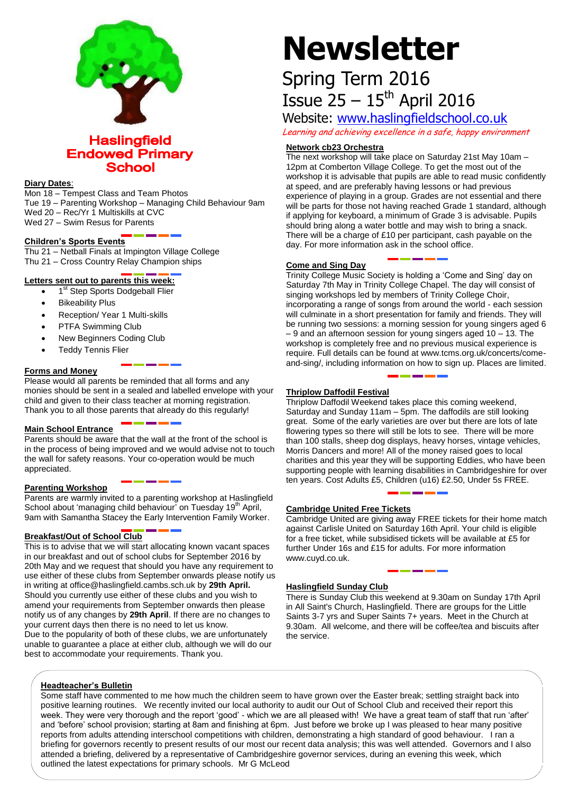

**Haslingfield Endowed Primary School** 

# **Diary Dates**:

Mon 18 – Tempest Class and Team Photos Tue 19 – Parenting Workshop – Managing Child Behaviour 9am Wed 20 – Rec/Yr 1 Multiskills at CVC Wed 27 – Swim Resus for Parents

#### **Children's Sports Events**

Thu 21 – Netball Finals at Impington Village College Thu 21 – Cross Country Relay Champion ships

# **Letters sent out to parents this week:**

• 1<sup>st</sup> Step Sports Dodgeball Flier

- Bikeability Plus
- Reception/ Year 1 Multi-skills
- PTFA Swimming Club
- New Beginners Coding Club
- Teddy Tennis Flier

# **Forms and Money**

Please would all parents be reminded that all forms and any monies should be sent in a sealed and labelled envelope with your child and given to their class teacher at morning registration. Thank you to all those parents that already do this regularly!

#### **Main School Entrance**

Parents should be aware that the wall at the front of the school is in the process of being improved and we would advise not to touch the wall for safety reasons. Your co-operation would be much appreciated.

#### **Parenting Workshop**

Parents are warmly invited to a parenting workshop at Haslingfield School about 'managing child behaviour' on Tuesday 19<sup>th</sup> April, 9am with Samantha Stacey the Early Intervention Family Worker.

#### **Breakfast/Out of School Club**

This is to advise that we will start allocating known vacant spaces in our breakfast and out of school clubs for September 2016 by 20th May and we request that should you have any requirement to use either of these clubs from September onwards please notify us in writing at office@haslingfield.cambs.sch.uk by **29th April.** Should you currently use either of these clubs and you wish to amend your requirements from September onwards then please notify us of any changes by **29th April**. If there are no changes to your current days then there is no need to let us know. Due to the popularity of both of these clubs, we are unfortunately unable to guarantee a place at either club, although we will do our

best to accommodate your requirements. Thank you.

# **Newsletter**

# Spring Term 2016 Issue  $25 - 15$ <sup>th</sup> April 2016

Website: [www.haslingfieldschool.co.uk](http://www.haslingfieldschool.co.uk/)

Learning and achieving excellence in a safe, happy environment

# **Network cb23 Orchestra**

The next workshop will take place on Saturday 21st May 10am – 12pm at Comberton Village College. To get the most out of the workshop it is advisable that pupils are able to read music confidently at speed, and are preferably having lessons or had previous experience of playing in a group. Grades are not essential and there will be parts for those not having reached Grade 1 standard, although if applying for keyboard, a minimum of Grade 3 is advisable. Pupils should bring along a water bottle and may wish to bring a snack. There will be a charge of £10 per participant, cash payable on the day. For more information ask in the school office.

# **Come and Sing Day**

Trinity College Music Society is holding a 'Come and Sing' day on Saturday 7th May in Trinity College Chapel. The day will consist of singing workshops led by members of Trinity College Choir, incorporating a range of songs from around the world - each session will culminate in a short presentation for family and friends. They will be running two sessions: a morning session for young singers aged 6 – 9 and an afternoon session for young singers aged 10 – 13. The workshop is completely free and no previous musical experience is require. Full details can be found at www.tcms.org.uk/concerts/comeand-sing/, including information on how to sign up. Places are limited.

#### **Thriplow Daffodil Festival**

Thriplow Daffodil Weekend takes place this coming weekend, Saturday and Sunday 11am – 5pm. The daffodils are still looking great. Some of the early varieties are over but there are lots of late flowering types so there will still be lots to see. There will be more than 100 stalls, sheep dog displays, heavy horses, vintage vehicles, Morris Dancers and more! All of the money raised goes to local charities and this year they will be supporting Eddies, who have been supporting people with learning disabilities in Cambridgeshire for over ten years. Cost Adults £5, Children (u16) £2.50, Under 5s FREE.

#### **Cambridge United Free Tickets**

Cambridge United are giving away FREE tickets for their home match against Carlisle United on Saturday 16th April. Your child is eligible for a free ticket, while subsidised tickets will be available at £5 for further Under 16s and £15 for adults. For more information www.cuyd.co.uk.

# **Haslingfield Sunday Club**

There is Sunday Club this weekend at 9.30am on Sunday 17th April in All Saint's Church, Haslingfield. There are groups for the Little Saints 3-7 yrs and Super Saints 7+ years. Meet in the Church at 9.30am. All welcome, and there will be coffee/tea and biscuits after the service.

# **Headteacher's Bulletin**

Mr McLeod

Some staff have commented to me how much the children seem to have grown over the Easter break; settling straight back into positive learning routines. We recently invited our local authority to audit our Out of School Club and received their report this week. They were very thorough and the report 'good' - which we are all pleased with! We have a great team of staff that run 'after' and 'before' school provision; starting at 8am and finishing at 6pm. Just before we broke up I was pleased to hear many positive reports from adults attending interschool competitions with children, demonstrating a high standard of good behaviour. I ran a briefing for governors recently to present results of our most our recent data analysis; this was well attended. Governors and I also attended a briefing, delivered by a representative of Cambridgeshire governor services, during an evening this week, which outlined the latest expectations for primary schools. Mr G McLeod